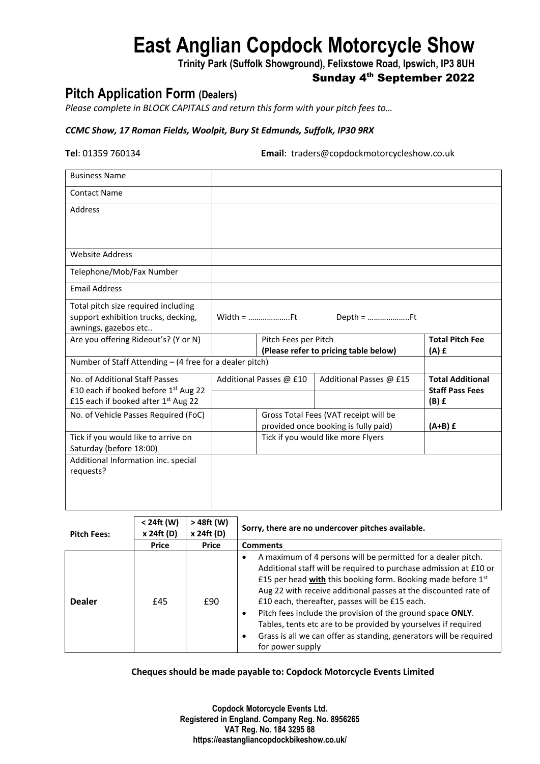# **East Anglian Copdock Motorcycle Show**

**Trinity Park (Suffolk Showground), Felixstowe Road, Ipswich, IP3 8UH**

## Sunday 4<sup>th</sup> September 2022

## **Pitch Application Form (Dealers)**

*Please complete in BLOCK CAPITALS and return this form with your pitch fees to…*

### *CCMC Show, 17 Roman Fields, Woolpit, Bury St Edmunds, Suffolk, IP30 9RX*

**Tel**: 01359 760134 **Email**: traders@copdockmotorcycleshow.co.uk

| <b>Business Name</b>                                    |                                       |                                    |                         |                         |  |
|---------------------------------------------------------|---------------------------------------|------------------------------------|-------------------------|-------------------------|--|
| <b>Contact Name</b>                                     |                                       |                                    |                         |                         |  |
| <b>Address</b>                                          |                                       |                                    |                         |                         |  |
|                                                         |                                       |                                    |                         |                         |  |
|                                                         |                                       |                                    |                         |                         |  |
| <b>Website Address</b>                                  |                                       |                                    |                         |                         |  |
| Telephone/Mob/Fax Number                                |                                       |                                    |                         |                         |  |
| <b>Email Address</b>                                    |                                       |                                    |                         |                         |  |
| Total pitch size required including                     |                                       |                                    |                         |                         |  |
| support exhibition trucks, decking,                     | Width = Ft                            |                                    |                         |                         |  |
| awnings, gazebos etc                                    |                                       |                                    |                         |                         |  |
| Are you offering Rideout's? (Y or N)                    | Pitch Fees per Pitch                  |                                    |                         | <b>Total Pitch Fee</b>  |  |
|                                                         | (Please refer to pricing table below) |                                    |                         | $(A)$ £                 |  |
| Number of Staff Attending - (4 free for a dealer pitch) |                                       |                                    |                         |                         |  |
| No. of Additional Staff Passes                          | Additional Passes @ £10               |                                    | Additional Passes @ £15 | <b>Total Additional</b> |  |
| £10 each if booked before 1st Aug 22                    |                                       |                                    |                         | <b>Staff Pass Fees</b>  |  |
| £15 each if booked after 1st Aug 22                     |                                       |                                    |                         | $(B)$ £                 |  |
| No. of Vehicle Passes Required (FoC)                    | Gross Total Fees (VAT receipt will be |                                    |                         |                         |  |
|                                                         | provided once booking is fully paid)  |                                    |                         | $(A+B)$ £               |  |
| Tick if you would like to arrive on                     |                                       | Tick if you would like more Flyers |                         |                         |  |
| Saturday (before 18:00)                                 |                                       |                                    |                         |                         |  |
| Additional Information inc. special                     |                                       |                                    |                         |                         |  |
| requests?                                               |                                       |                                    |                         |                         |  |
|                                                         |                                       |                                    |                         |                         |  |
|                                                         |                                       |                                    |                         |                         |  |
|                                                         |                                       |                                    |                         |                         |  |

| <b>Pitch Fees:</b> | < 24ft (W)<br>x 24ft (D) | > 48ft (W)<br>x 24ft (D) | Sorry, there are no undercover pitches available.                                                                                                                                                                                                                                                                                                                                                                                                                                                                                                |  |  |
|--------------------|--------------------------|--------------------------|--------------------------------------------------------------------------------------------------------------------------------------------------------------------------------------------------------------------------------------------------------------------------------------------------------------------------------------------------------------------------------------------------------------------------------------------------------------------------------------------------------------------------------------------------|--|--|
|                    | <b>Price</b>             | <b>Price</b>             | <b>Comments</b>                                                                                                                                                                                                                                                                                                                                                                                                                                                                                                                                  |  |  |
| <b>Dealer</b>      | £45                      | £90                      | A maximum of 4 persons will be permitted for a dealer pitch.<br>Additional staff will be required to purchase admission at £10 or<br>£15 per head with this booking form. Booking made before 1st<br>Aug 22 with receive additional passes at the discounted rate of<br>£10 each, thereafter, passes will be £15 each.<br>Pitch fees include the provision of the ground space ONLY.<br>Tables, tents etc are to be provided by yourselves if required<br>Grass is all we can offer as standing, generators will be required<br>for power supply |  |  |

**Cheques should be made payable to: Copdock Motorcycle Events Limited**

**Copdock Motorcycle Events Ltd. Registered in England. Company Reg. No. 8956265 VAT Reg. No. 184 3295 88 https://eastangliancopdockbikeshow.co.uk/**